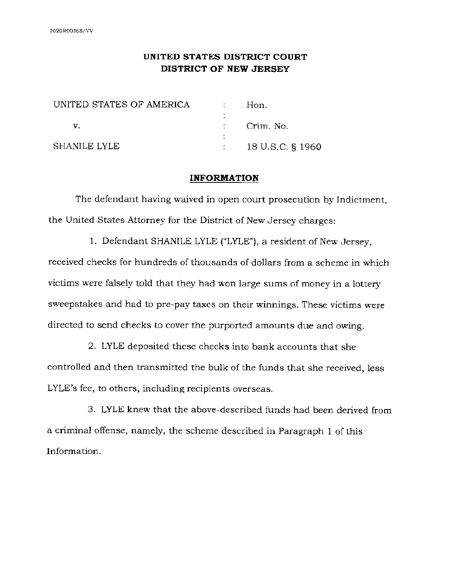# **UNITED STATES DISTRICT COURT DISTRICT OF NEW JERSEY**

| UNITED STATES OF AMERICA | Hon.                   |
|--------------------------|------------------------|
|                          |                        |
| V.                       | $\therefore$ Crim. No. |
|                          |                        |
| SHANILE LYLE             | 18 U.S.C. § 1960       |

## **INFORMATION**

The defendant having waived in open court prosecution by Indictment, the United States Attorney for the District of New Jersey charges:

1. Defendant SHANILE LYLE ("LYLE"), a resident of New Jersey, received checks for hundreds of thousands of dollars from a scheme in which victims were falsely told that they had won large sums of money in a lottery sweepstakes and had to pre-pay taxes on their winnings. These victims were directed to send checks to cover the purported amounts due and owing.

2. LYLE deposited these checks into bank accounts that she controlled and then transmitted the bulk of the funds that she received, less LYLE's fee, to others, including recipients overseas.

3. LYLE knew that the above-described funds had been derived from a criminal offense, namely, the scheme described in Paragraph 1 of this Information.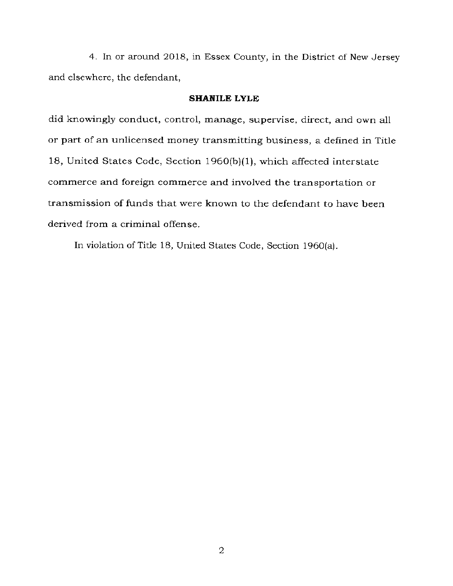4. In or around 2018, in Essex County, in the District of New Jersey and elsewhere, the defendant,

## **SHANILE LYLE**

did knowingly conduct, control, manage, supervise, direct, and own all or part of an unlicensed money transmitting business, a defined in Title 18, United States Code, Section 1960(b)(l), which affected interstate commerce and foreign commerce and involved the transportation or transmission of funds that were known to the defendant to have been derived from a criminal offense.

In violation of Title 18, United States Code, Section 1960(a).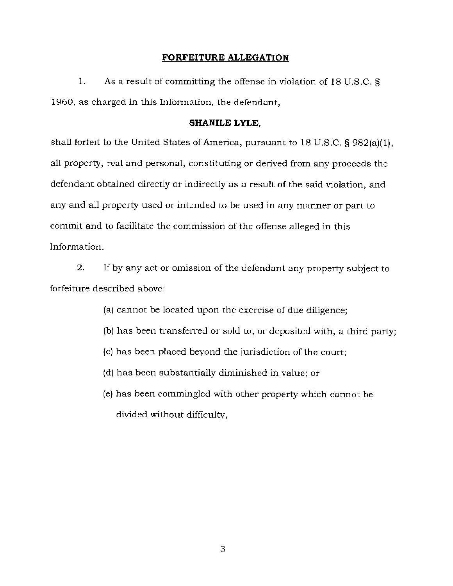#### **FORFEITURE ALLEGATION**

1. As a result of committing the offense in violation of 18 U.S.C. § 1960, as charged in this Information, the defendant,

#### **SHANILE LYLE,**

shall forfeit to the United States of America, pursuant to 18 U.S.C. § 982(a)(l), all property, real and personal, constituting or derived from any proceeds the defendant obtained directly or indirectly as a result of the said violation, and any and all property used or intended to be used in any manner or part to commit and to facilitate the commission of the offense alleged in this Information.

2. If by any act or omission of the defendant any property subject to forfeiture described above:

- (a) cannot be located upon the exercise of due diligence;
- (b) has been transferred or sold to, or deposited with, a third party;
- (c) has been placed beyond the jurisdiction of the court;
- (d) has been substantially diminished in value; or
- (e) has been commingled with other property which cannot be divided without difficulty,

3